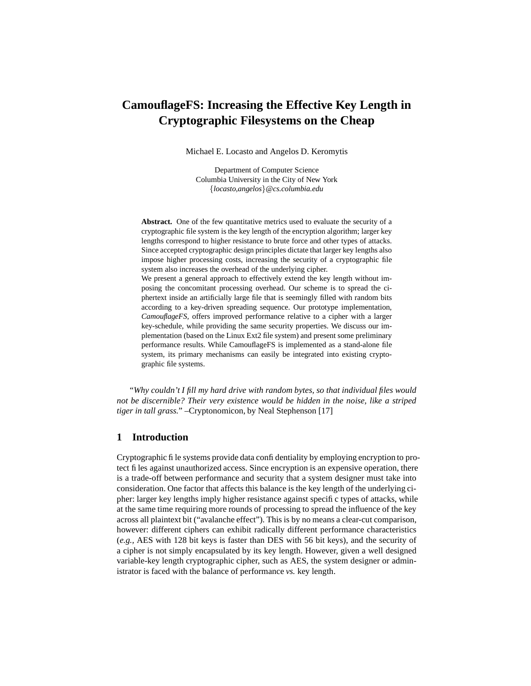# **CamouflageFS: Increasing the Effective Key Length in Cryptographic Filesystems on the Cheap**

Michael E. Locasto and Angelos D. Keromytis

Department of Computer Science Columbia University in the City of New York {*locasto,angelos*}*@cs.columbia.edu*

Abstract. One of the few quantitative metrics used to evaluate the security of a cryptographic file system is the key length of the encryption algorithm; larger key lengths correspond to higher resistance to brute force and other types of attacks. Since accepted cryptographic design principles dictate that larger key lengths also impose higher processing costs, increasing the security of a cryptographic file system also increases the overhead of the underlying cipher.

We present a general approach to effectively extend the key length without imposing the concomitant processing overhead. Our scheme is to spread the ciphertext inside an artificially large file that is seemingly filled with random bits according to a key-driven spreading sequence. Our prototype implementation, *CamouflageFS,* offers improved performance relative to a cipher with a larger key-schedule, while providing the same security properties. We discuss our implementation (based on the Linux Ext2 file system) and present some preliminary performance results. While CamouflageFS is implemented as a stand-alone file system, its primary mechanisms can easily be integrated into existing cryptographic file systems.

"*Why couldn't I fill my hard drive with random bytes, so that individual files would not be discernible? Their very existence would be hidden in the noise, like a striped tiger in tall grass.*" –Cryptonomicon, by Neal Stephenson [17]

# **1 Introduction**

Cryptographic file systems provide data confidentiality by employing encryption to protect files against unauthorized access. Since encryption is an expensive operation, there is a trade-off between performance and security that a system designer must take into consideration. One factor that affects this balance is the key length of the underlying cipher: larger key lengths imply higher resistance against specific types of attacks, while at the same time requiring more rounds of processing to spread the influence of the key across all plaintext bit ("avalanche effect"). This is by no means a clear-cut comparison, however: different ciphers can exhibit radically different performance characteristics (*e.g.,* AES with 128 bit keys is faster than DES with 56 bit keys), and the security of a cipher is not simply encapsulated by its key length. However, given a well designed variable-key length cryptographic cipher, such as AES, the system designer or administrator is faced with the balance of performance *vs.* key length.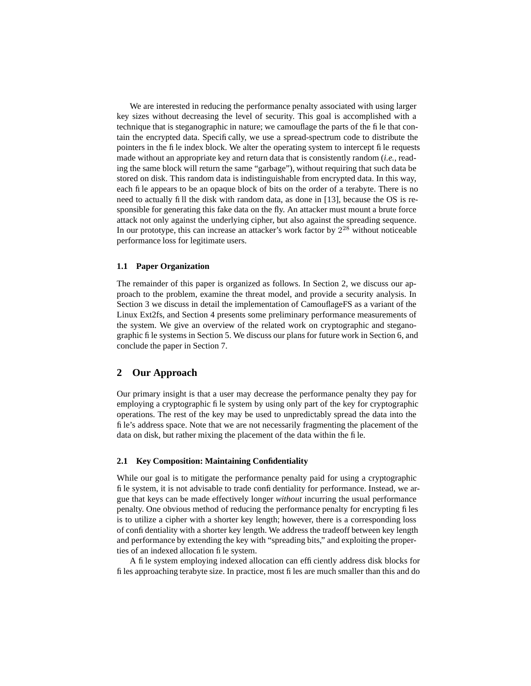We are interested in reducing the performance penalty associated with using larger key sizes without decreasing the level of security. This goal is accomplished with a technique that is steganographic in nature; we camouflage the parts of the file that contain the encrypted data. Specifically, we use a spread-spectrum code to distribute the pointers in the file index block. We alter the operating system to intercept file requests made without an appropriate key and return data that is consistently random (*i.e.,* reading the same block will return the same "garbage"), without requiring that such data be stored on disk. This random data is indistinguishable from encrypted data. In this way, each file appears to be an opaque block of bits on the order of a terabyte. There is no need to actually fill the disk with random data, as done in [13], because the OS is responsible for generating this fake data on the fly. An attacker must mount a brute force attack not only against the underlying cipher, but also against the spreading sequence. In our prototype, this can increase an attacker's work factor by  $2^{28}$  without noticeable performance loss for legitimate users.

#### **1.1 Paper Organization**

The remainder of this paper is organized as follows. In Section 2, we discuss our approach to the problem, examine the threat model, and provide a security analysis. In Section 3 we discuss in detail the implementation of CamouflageFS as a variant of the Linux Ext2fs, and Section 4 presents some preliminary performance measurements of the system. We give an overview of the related work on cryptographic and steganographic file systems in Section 5. We discuss our plans for future work in Section 6, and conclude the paper in Section 7.

# **2 Our Approach**

Our primary insight is that a user may decrease the performance penalty they pay for employing a cryptographic file system by using only part of the key for cryptographic operations. The rest of the key may be used to unpredictably spread the data into the file's address space. Note that we are not necessarily fragmenting the placement of the data on disk, but rather mixing the placement of the data within the file.

### **2.1 Key Composition: Maintaining Confidentiality**

While our goal is to mitigate the performance penalty paid for using a cryptographic file system, it is not advisable to trade confidentiality for performance. Instead, we argue that keys can be made effectively longer *without* incurring the usual performance penalty. One obvious method of reducing the performance penalty for encrypting files is to utilize a cipher with a shorter key length; however, there is a corresponding loss of confidentiality with a shorter key length. We address the tradeoff between key length and performance by extending the key with "spreading bits," and exploiting the properties of an indexed allocation file system.

A file system employing indexed allocation can efficiently address disk blocks for files approaching terabyte size. In practice, most files are much smaller than this and do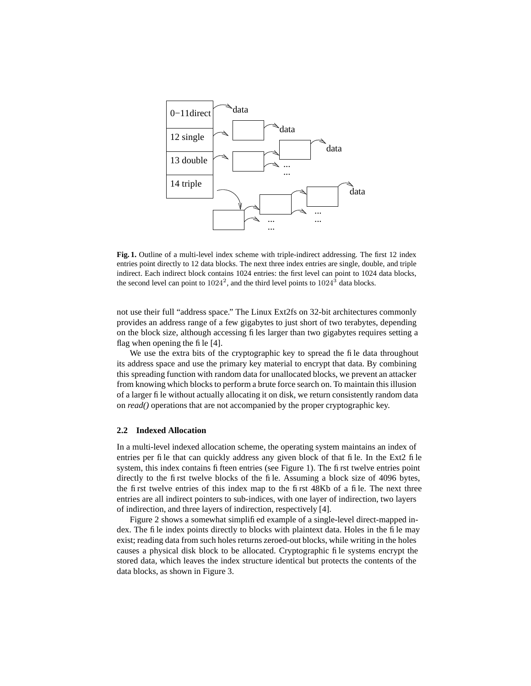

**Fig. 1.** Outline of a multi-level index scheme with triple-indirect addressing. The first 12 index entries point directly to 12 data blocks. The next three index entries are single, double, and triple indirect. Each indirect block contains 1024 entries: the first level can point to 1024 data blocks, the second level can point to  $1024^2$ , and the third level points to  $1024^3$  data blocks.

not use their full "address space." The Linux Ext2fs on 32-bit architectures commonly provides an address range of a few gigabytes to just short of two terabytes, depending on the block size, although accessing files larger than two gigabytes requires setting a flag when opening the file [4].

We use the extra bits of the cryptographic key to spread the file data throughout its address space and use the primary key material to encrypt that data. By combining this spreading function with random data for unallocated blocks, we prevent an attacker from knowing which blocks to perform a brute force search on. To maintain this illusion of a larger file without actually allocating it on disk, we return consistently random data on *read()* operations that are not accompanied by the proper cryptographic key.

#### **2.2 Indexed Allocation**

In a multi-level indexed allocation scheme, the operating system maintains an index of entries per file that can quickly address any given block of that file. In the Ext2 file system, this index contains fifteen entries (see Figure 1). The first twelve entries point directly to the first twelve blocks of the file. Assuming a block size of 4096 bytes, the first twelve entries of this index map to the first 48Kb of a file. The next three entries are all indirect pointers to sub-indices, with one layer of indirection, two layers of indirection, and three layers of indirection, respectively [4].

Figure 2 shows a somewhat simplified example of a single-level direct-mapped index. The file index points directly to blocks with plaintext data. Holes in the file may exist; reading data from such holes returns zeroed-out blocks, while writing in the holes causes a physical disk block to be allocated. Cryptographic file systems encrypt the stored data, which leaves the index structure identical but protects the contents of the data blocks, as shown in Figure 3.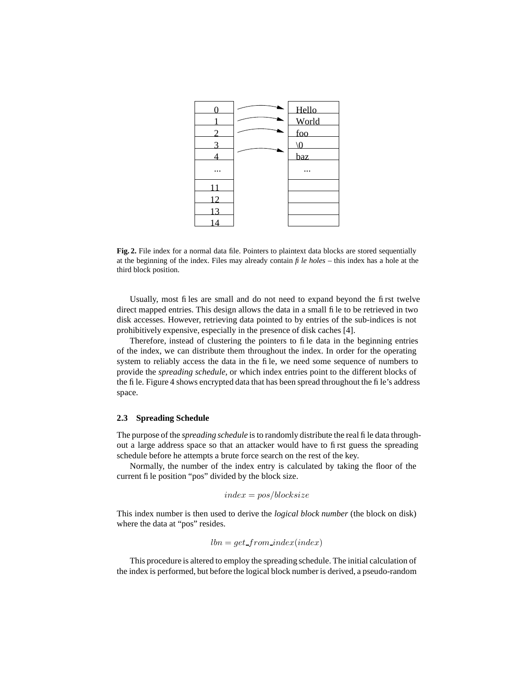

**Fig. 2.** File index for a normal data file. Pointers to plaintext data blocks are stored sequentially at the beginning of the index. Files may already contain *file holes* – this index has a hole at the third block position.

Usually, most files are small and do not need to expand beyond the first twelve direct mapped entries. This design allows the data in a small file to be retrieved in two disk accesses. However, retrieving data pointed to by entries of the sub-indices is not prohibitively expensive, especially in the presence of disk caches [4].

Therefore, instead of clustering the pointers to file data in the beginning entries of the index, we can distribute them throughout the index. In order for the operating system to reliably access the data in the file, we need some sequence of numbers to provide the *spreading schedule*, or which index entries point to the different blocks of the file. Figure 4 shows encrypted data that has been spread throughout the file's address space.

#### **2.3 Spreading Schedule**

The purpose of the *spreading schedule* is to randomly distribute the real file data throughout a large address space so that an attacker would have to first guess the spreading schedule before he attempts a brute force search on the rest of the key.

Normally, the number of the index entry is calculated by taking the floor of the current file position "pos" divided by the block size.

$$
index = pos/blocksize
$$

This index number is then used to derive the *logical block number* (the block on disk) where the data at "pos" resides.

$$
lbn = get\_from\_index(index)
$$

This procedure is altered to employ the spreading schedule. The initial calculation of the index is performed, but before the logical block number is derived, a pseudo-random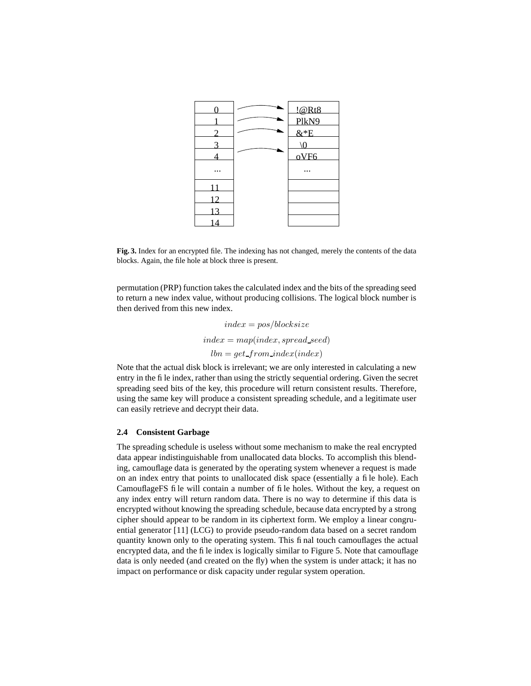

**Fig. 3.** Index for an encrypted file. The indexing has not changed, merely the contents of the data blocks. Again, the file hole at block three is present.

permutation (PRP) function takes the calculated index and the bits of the spreading seed to return a new index value, without producing collisions. The logical block number is then derived from this new index.

$$
index = pos/block size
$$
  

$$
index = mapindex, spread\_seed)
$$
  

$$
lbn = get\_from\_index/index)
$$

Note that the actual disk block is irrelevant; we are only interested in calculating a new entry in the file index, rather than using the strictly sequential ordering. Given the secret spreading seed bits of the key, this procedure will return consistent results. Therefore, using the same key will produce a consistent spreading schedule, and a legitimate user can easily retrieve and decrypt their data.

#### **2.4 Consistent Garbage**

The spreading schedule is useless without some mechanism to make the real encrypted data appear indistinguishable from unallocated data blocks. To accomplish this blending, camouflage data is generated by the operating system whenever a request is made on an index entry that points to unallocated disk space (essentially a file hole). Each CamouflageFS file will contain a number of file holes. Without the key, a request on any index entry will return random data. There is no way to determine if this data is encrypted without knowing the spreading schedule, because data encrypted by a strong cipher should appear to be random in its ciphertext form. We employ a linear congruential generator [11] (LCG) to provide pseudo-random data based on a secret random quantity known only to the operating system. This final touch camouflages the actual encrypted data, and the file index is logically similar to Figure 5. Note that camouflage data is only needed (and created on the fly) when the system is under attack; it has no impact on performance or disk capacity under regular system operation.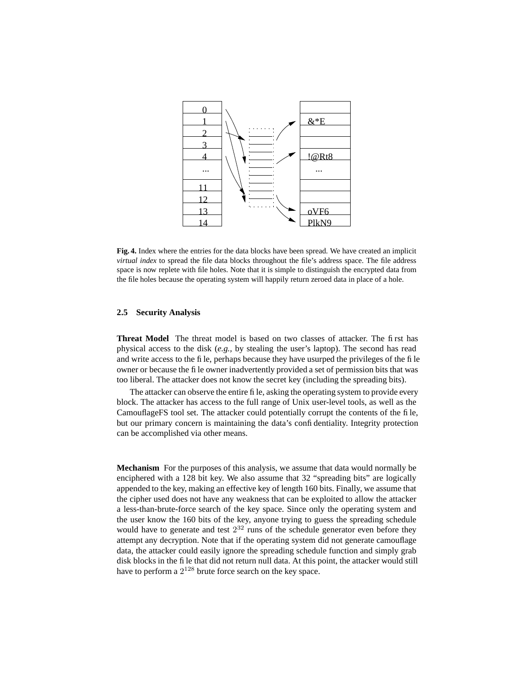

**Fig. 4.** Index where the entries for the data blocks have been spread. We have created an implicit *virtual index* to spread the file data blocks throughout the file's address space. The file address space is now replete with file holes. Note that it is simple to distinguish the encrypted data from the file holes because the operating system will happily return zeroed data in place of a hole.

### **2.5 Security Analysis**

**Threat Model** The threat model is based on two classes of attacker. The first has physical access to the disk (*e.g.,* by stealing the user's laptop). The second has read and write access to the file, perhaps because they have usurped the privileges of the file owner or because the file owner inadvertently provided a set of permission bits that was too liberal. The attacker does not know the secret key (including the spreading bits).

The attacker can observe the entire file, asking the operating system to provide every block. The attacker has access to the full range of Unix user-level tools, as well as the CamouflageFS tool set. The attacker could potentially corrupt the contents of the file, but our primary concern is maintaining the data's confidentiality. Integrity protection can be accomplished via other means.

**Mechanism** For the purposes of this analysis, we assume that data would normally be enciphered with a 128 bit key. We also assume that 32 "spreading bits" are logically appended to the key, making an effective key of length 160 bits. Finally, we assume that the cipher used does not have any weakness that can be exploited to allow the attacker a less-than-brute-force search of the key space. Since only the operating system and the user know the 160 bits of the key, anyone trying to guess the spreading schedule would have to generate and test  $2^{32}$  runs of the schedule generator even before they attempt any decryption. Note that if the operating system did not generate camouflage data, the attacker could easily ignore the spreading schedule function and simply grab disk blocks in the file that did not return null data. At this point, the attacker would still have to perform a  $2^{128}$  brute force search on the key space.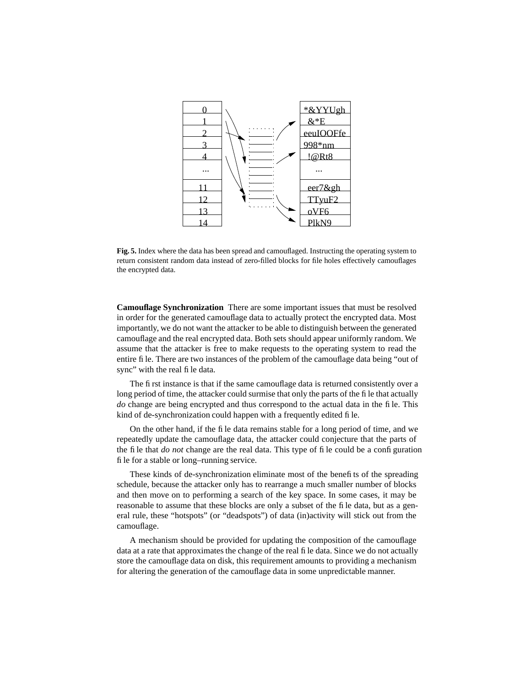

**Fig. 5.** Index where the data has been spread and camouflaged. Instructing the operating system to return consistent random data instead of zero-filled blocks for file holes effectively camouflages the encrypted data.

**Camouflage Synchronization** There are some important issues that must be resolved in order for the generated camouflage data to actually protect the encrypted data. Most importantly, we do not want the attacker to be able to distinguish between the generated camouflage and the real encrypted data. Both sets should appear uniformly random. We assume that the attacker is free to make requests to the operating system to read the entire file. There are two instances of the problem of the camouflage data being "out of sync" with the real file data.

The first instance is that if the same camouflage data is returned consistently over a long period of time, the attacker could surmise that only the parts of the file that actually *do* change are being encrypted and thus correspond to the actual data in the file. This kind of de-synchronization could happen with a frequently edited file.

On the other hand, if the file data remains stable for a long period of time, and we repeatedly update the camouflage data, the attacker could conjecture that the parts of the file that *do not* change are the real data. This type of file could be a configuration file for a stable or long–running service.

These kinds of de-synchronization eliminate most of the benefits of the spreading schedule, because the attacker only has to rearrange a much smaller number of blocks and then move on to performing a search of the key space. In some cases, it may be reasonable to assume that these blocks are only a subset of the file data, but as a general rule, these "hotspots" (or "deadspots") of data (in)activity will stick out from the camouflage.

A mechanism should be provided for updating the composition of the camouflage data at a rate that approximates the change of the real file data. Since we do not actually store the camouflage data on disk, this requirement amounts to providing a mechanism for altering the generation of the camouflage data in some unpredictable manner.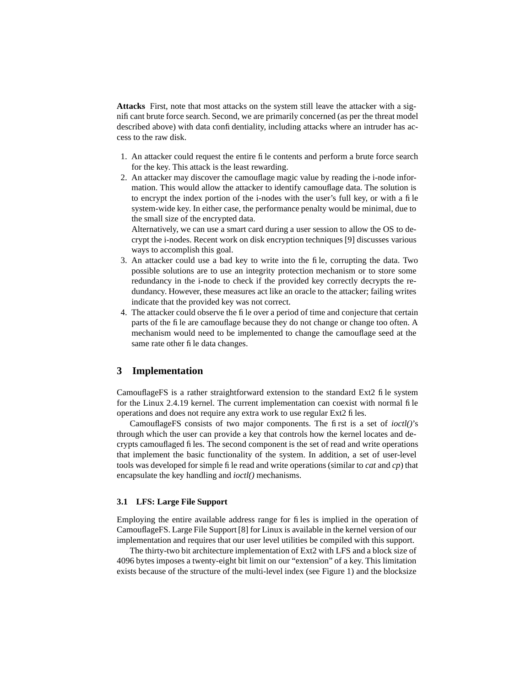**Attacks** First, note that most attacks on the system still leave the attacker with a significant brute force search. Second, we are primarily concerned (as per the threat model described above) with data confidentiality, including attacks where an intruder has access to the raw disk.

- 1. An attacker could request the entire file contents and perform a brute force search for the key. This attack is the least rewarding.
- 2. An attacker may discover the camouflage magic value by reading the i-node information. This would allow the attacker to identify camouflage data. The solution is to encrypt the index portion of the i-nodes with the user's full key, or with a file system-wide key. In either case, the performance penalty would be minimal, due to the small size of the encrypted data.

Alternatively, we can use a smart card during a user session to allow the OS to decrypt the i-nodes. Recent work on disk encryption techniques [9] discusses various ways to accomplish this goal.

- 3. An attacker could use a bad key to write into the file, corrupting the data. Two possible solutions are to use an integrity protection mechanism or to store some redundancy in the i-node to check if the provided key correctly decrypts the redundancy. However, these measures act like an oracle to the attacker; failing writes indicate that the provided key was not correct.
- 4. The attacker could observe the file over a period of time and conjecture that certain parts of the file are camouflage because they do not change or change too often. A mechanism would need to be implemented to change the camouflage seed at the same rate other file data changes.

# **3 Implementation**

CamouflageFS is a rather straightforward extension to the standard Ext2 file system for the Linux 2.4.19 kernel. The current implementation can coexist with normal file operations and does not require any extra work to use regular Ext2 files.

CamouflageFS consists of two major components. The first is a set of *ioctl()*'s through which the user can provide a key that controls how the kernel locates and decrypts camouflaged files. The second component is the set of read and write operations that implement the basic functionality of the system. In addition, a set of user-level tools was developed for simple file read and write operations (similar to *cat* and *cp*) that encapsulate the key handling and *ioctl()* mechanisms.

#### **3.1 LFS: Large File Support**

Employing the entire available address range for files is implied in the operation of CamouflageFS. Large File Support [8] for Linux is available in the kernel version of our implementation and requires that our user level utilities be compiled with this support.

The thirty-two bit architecture implementation of Ext2 with LFS and a block size of 4096 bytes imposes a twenty-eight bit limit on our "extension" of a key. This limitation exists because of the structure of the multi-level index (see Figure 1) and the blocksize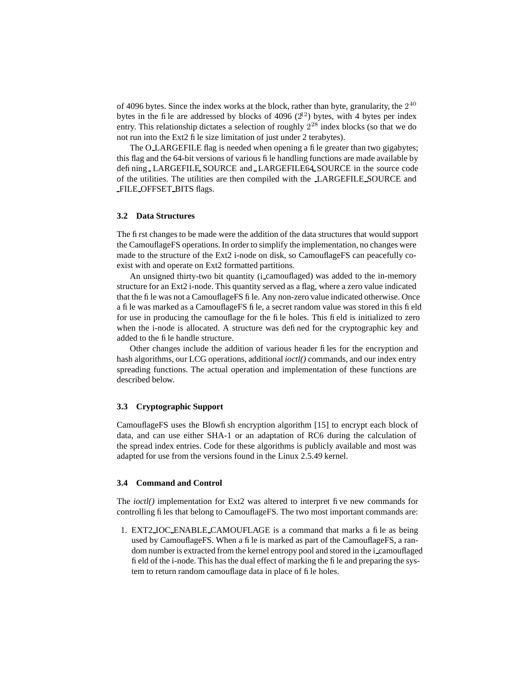of 4096 bytes. Since the index works at the block, rather than byte, granularity, the  $2^{40}$ bytes in the file are addressed by blocks of 4096  $(2^{12})$  bytes, with 4 bytes per index entry. This relationship dictates a selection of roughly  $2^{28}$  index blocks (so that we do not run into the Ext2 file size limitation of just under 2 terabytes).

The O\_LARGEFILE flag is needed when opening a file greater than two gigabytes; this flag and the 64-bit versions of various file handling functions are made available by defining LARGEFILE SOURCE and LARGEFILE64 SOURCE in the source code of the utilities. The utilities are then compiled with the LARGEFILE SOURCE and FILE OFFSET BITS flags.

### **3.2 Data Structures**

The first changes to be made were the addition of the data structures that would support the CamouflageFS operations. In order to simplify the implementation, no changes were made to the structure of the Ext2 i-node on disk, so CamouflageFS can peacefully coexist with and operate on Ext2 formatted partitions.

An unsigned thirty-two bit quantity (i\_camouflaged) was added to the in-memory structure for an Ext2 i-node. This quantity served as a flag, where a zero value indicated that the file was not a CamouflageFS file. Any non-zero value indicated otherwise. Once a file was marked as a CamouflageFS file, a secret random value was stored in this field for use in producing the camouflage for the file holes. This field is initialized to zero when the i-node is allocated. A structure was defined for the cryptographic key and added to the file handle structure.

Other changes include the addition of various header files for the encryption and hash algorithms, our LCG operations, additional *ioctl()* commands, and our index entry spreading functions. The actual operation and implementation of these functions are described below.

#### **3.3 Cryptographic Support**

CamouflageFS uses the Blowfish encryption algorithm [15] to encrypt each block of data, and can use either SHA-1 or an adaptation of RC6 during the calculation of the spread index entries. Code for these algorithms is publicly available and most was adapted for use from the versions found in the Linux 2.5.49 kernel.

#### **3.4 Command and Control**

The *ioctl()* implementation for Ext2 was altered to interpret five new commands for controlling files that belong to CamouflageFS. The two most important commands are:

1. EXT2 IOC ENABLE CAMOUFLAGE is a command that marks a file as being used by CamouflageFS. When a file is marked as part of the CamouflageFS, a random numberis extracted from the kernel entropy pool and stored in the i camouflaged field of the i-node. This has the dual effect of marking the file and preparing the system to return random camouflage data in place of file holes.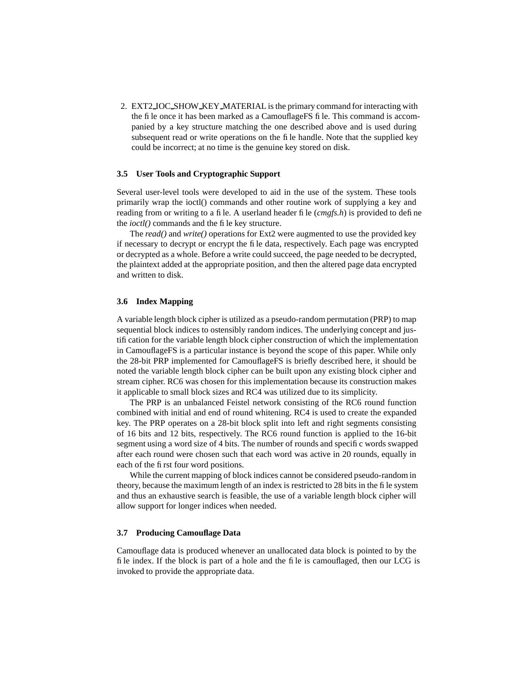2. EXT2 IOC SHOW KEY MATERIAL is the primary command for interacting with the file once it has been marked as a CamouflageFS file. This command is accompanied by a key structure matching the one described above and is used during subsequent read or write operations on the file handle. Note that the supplied key could be incorrect; at no time is the genuine key stored on disk.

### **3.5 User Tools and Cryptographic Support**

Several user-level tools were developed to aid in the use of the system. These tools primarily wrap the ioctl() commands and other routine work of supplying a key and reading from or writing to a file. A userland header file (*cmgfs.h*) is provided to define the *ioctl()* commands and the file key structure.

The *read()* and *write()* operations for Ext2 were augmented to use the provided key if necessary to decrypt or encrypt the file data, respectively. Each page was encrypted or decrypted as a whole. Before a write could succeed, the page needed to be decrypted, the plaintext added at the appropriate position, and then the altered page data encrypted and written to disk.

#### **3.6 Index Mapping**

A variable length block cipher is utilized as a pseudo-random permutation (PRP) to map sequential block indices to ostensibly random indices. The underlying concept and justification for the variable length block cipher construction of which the implementation in CamouflageFS is a particular instance is beyond the scope of this paper. While only the 28-bit PRP implemented for CamouflageFS is briefly described here, it should be noted the variable length block cipher can be built upon any existing block cipher and stream cipher. RC6 was chosen for this implementation because its construction makes it applicable to small block sizes and RC4 was utilized due to its simplicity.

The PRP is an unbalanced Feistel network consisting of the RC6 round function combined with initial and end of round whitening. RC4 is used to create the expanded key. The PRP operates on a 28-bit block split into left and right segments consisting of 16 bits and 12 bits, respectively. The RC6 round function is applied to the 16-bit segment using a word size of 4 bits. The number of rounds and specific words swapped after each round were chosen such that each word was active in 20 rounds, equally in each of the first four word positions.

While the current mapping of block indices cannot be considered pseudo-random in theory, because the maximum length of an index is restricted to 28 bits in the file system and thus an exhaustive search is feasible, the use of a variable length block cipher will allow support for longer indices when needed.

### **3.7 Producing Camouflage Data**

Camouflage data is produced whenever an unallocated data block is pointed to by the file index. If the block is part of a hole and the file is camouflaged, then our LCG is invoked to provide the appropriate data.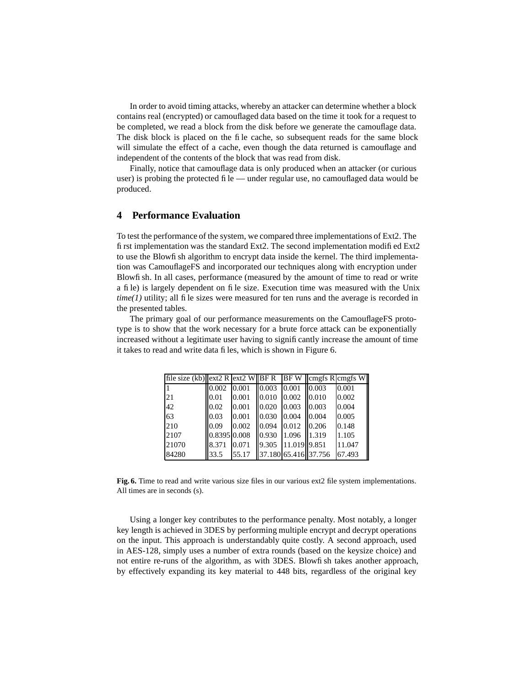In order to avoid timing attacks, whereby an attacker can determine whether a block contains real (encrypted) or camouflaged data based on the time it took for a request to be completed, we read a block from the disk before we generate the camouflage data. The disk block is placed on the file cache, so subsequent reads for the same block will simulate the effect of a cache, even though the data returned is camouflage and independent of the contents of the block that was read from disk.

Finally, notice that camouflage data is only produced when an attacker (or curious user) is probing the protected file — under regular use, no camouflaged data would be produced.

# **4 Performance Evaluation**

To test the performance of the system, we compared three implementations of Ext2. The first implementation was the standard Ext2. The second implementation modified Ext2 to use the Blowfish algorithm to encrypt data inside the kernel. The third implementation was CamouflageFS and incorporated our techniques along with encryption under Blowfish. In all cases, performance (measured by the amount of time to read or write a file) is largely dependent on file size. Execution time was measured with the Unix  $time(1)$  utility; all file sizes were measured for ten runs and the average is recorded in the presented tables.

The primary goal of our performance measurements on the CamouflageFS prototype is to show that the work necessary for a brute force attack can be exponentially increased without a legitimate user having to significantly increase the amount of time it takes to read and write data files, which is shown in Figure 6.

| file size (kb) ext2 R ext2 W BF R BF W cmgfs R cmgfs W |              |       |       |                      |        |        |
|--------------------------------------------------------|--------------|-------|-------|----------------------|--------|--------|
|                                                        | 0.002        | 0.001 | 0.003 | 0.001                | 0.003  | 0.001  |
| 21                                                     | 0.01         | 0.001 | 0.010 | 0.002                | 10.010 | 0.002  |
| 42                                                     | 0.02         | 0.001 | 0.020 | 0.003                | 0.003  | 0.004  |
| 63                                                     | 0.03         | 0.001 | 0.030 | 0.004                | 0.004  | 0.005  |
| 210                                                    | 0.09         | 0.002 | 0.094 | $0.012$ 0.206        |        | 0.148  |
| 2107                                                   | 0.8395 0.008 |       | 0.930 | 1.096                | II.319 | 1.105  |
| 21070                                                  | 8.371        | 0.071 | 9.305 | 11.019 9.851         |        | 11.047 |
| 84280                                                  | 33.5         | 55.17 |       | 37.180 65.416 37.756 |        | 67.493 |

**Fig. 6.** Time to read and write various size files in our various ext2 file system implementations. All times are in seconds (s).

Using a longer key contributes to the performance penalty. Most notably, a longer key length is achieved in 3DES by performing multiple encrypt and decrypt operations on the input. This approach is understandably quite costly. A second approach, used in AES-128, simply uses a number of extra rounds (based on the keysize choice) and not entire re-runs of the algorithm, as with 3DES. Blowfish takes another approach, by effectively expanding its key material to 448 bits, regardless of the original key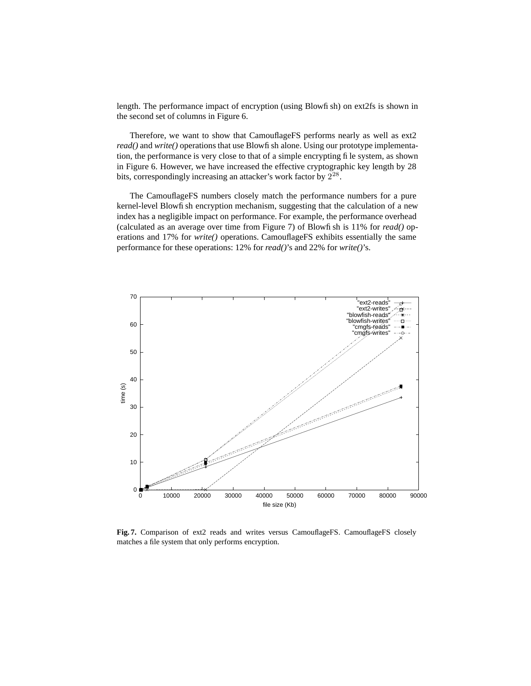length. The performance impact of encryption (using Blowfish) on ext2fs is shown in the second set of columns in Figure 6.

Therefore, we want to show that CamouflageFS performs nearly as well as ext2 *read()* and *write()* operations that use Blowfish alone. Using our prototype implementation, the performance is very close to that of a simple encrypting file system, as shown in Figure 6. However, we have increased the effective cryptographic key length by 28 bits, correspondingly increasing an attacker's work factor by  $2^{28}$ .

The CamouflageFS numbers closely match the performance numbers for a pure kernel-level Blowfish encryption mechanism, suggesting that the calculation of a new index has a negligible impact on performance. For example, the performance overhead (calculated as an average over time from Figure 7) of Blowfish is 11% for *read()* operations and 17% for *write()* operations. CamouflageFS exhibits essentially the same performance for these operations: 12% for *read()*'s and 22% for *write()*'s.



**Fig. 7.** Comparison of ext2 reads and writes versus CamouflageFS. CamouflageFS closely matches a file system that only performs encryption.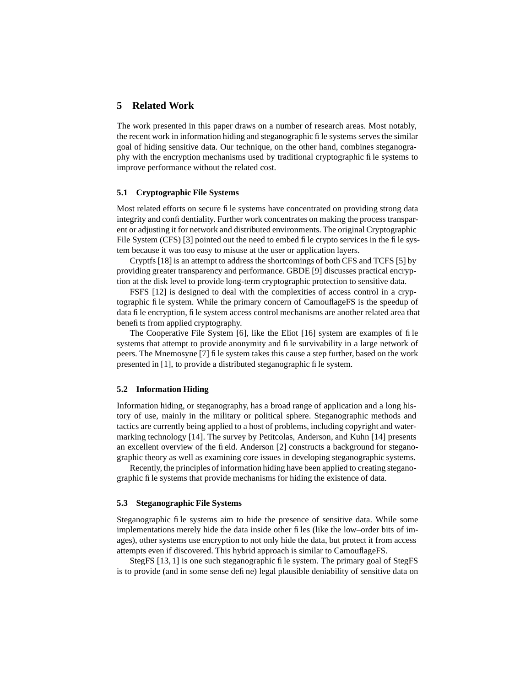# **5 Related Work**

The work presented in this paper draws on a number of research areas. Most notably, the recent work in information hiding and steganographic file systems serves the similar goal of hiding sensitive data. Our technique, on the other hand, combines steganography with the encryption mechanisms used by traditional cryptographic file systems to improve performance without the related cost.

#### **5.1 Cryptographic File Systems**

Most related efforts on secure file systems have concentrated on providing strong data integrity and confidentiality. Further work concentrates on making the process transparent or adjusting it for network and distributed environments. The original Cryptographic File System (CFS) [3] pointed out the need to embed file crypto services in the file system because it was too easy to misuse at the user or application layers.

Cryptfs [18] is an attempt to address the shortcomings of both CFS and TCFS [5] by providing greater transparency and performance. GBDE [9] discusses practical encryption at the disk level to provide long-term cryptographic protection to sensitive data.

FSFS [12] is designed to deal with the complexities of access control in a cryptographic file system. While the primary concern of CamouflageFS is the speedup of data file encryption, file system access control mechanisms are another related area that benefits from applied cryptography.

The Cooperative File System [6], like the Eliot [16] system are examples of file systems that attempt to provide anonymity and file survivability in a large network of peers. The Mnemosyne [7] file system takes this cause a step further, based on the work presented in [1], to provide a distributed steganographic file system.

# **5.2 Information Hiding**

Information hiding, or steganography, has a broad range of application and a long history of use, mainly in the military or political sphere. Steganographic methods and tactics are currently being applied to a host of problems, including copyright and watermarking technology [14]. The survey by Petitcolas, Anderson, and Kuhn [14] presents an excellent overview of the field. Anderson [2] constructs a background for steganographic theory as well as examining core issues in developing steganographic systems.

Recently, the principles of information hiding have been applied to creating steganographic file systems that provide mechanisms for hiding the existence of data.

#### **5.3 Steganographic File Systems**

Steganographic file systems aim to hide the presence of sensitive data. While some implementations merely hide the data inside other files (like the low–order bits of images), other systems use encryption to not only hide the data, but protect it from access attempts even if discovered. This hybrid approach is similar to CamouflageFS.

StegFS [13, 1] is one such steganographic file system. The primary goal of StegFS is to provide (and in some sense define) legal plausible deniability of sensitive data on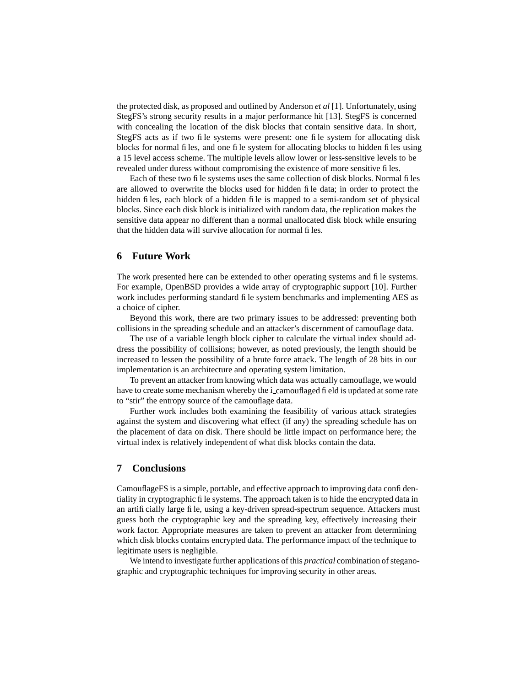the protected disk, as proposed and outlined by Anderson *et al* [1]. Unfortunately, using StegFS's strong security results in a major performance hit [13]. StegFS is concerned with concealing the location of the disk blocks that contain sensitive data. In short, StegFS acts as if two file systems were present: one file system for allocating disk blocks for normal files, and one file system for allocating blocks to hidden files using a 15 level access scheme. The multiple levels allow lower or less-sensitive levels to be revealed under duress without compromising the existence of more sensitive files.

Each of these two file systems uses the same collection of disk blocks. Normal files are allowed to overwrite the blocks used for hidden file data; in order to protect the hidden files, each block of a hidden file is mapped to a semi-random set of physical blocks. Since each disk block is initialized with random data, the replication makes the sensitive data appear no different than a normal unallocated disk block while ensuring that the hidden data will survive allocation for normal files.

# **6 Future Work**

The work presented here can be extended to other operating systems and file systems. For example, OpenBSD provides a wide array of cryptographic support [10]. Further work includes performing standard file system benchmarks and implementing AES as a choice of cipher.

Beyond this work, there are two primary issues to be addressed: preventing both collisions in the spreading schedule and an attacker's discernment of camouflage data.

The use of a variable length block cipher to calculate the virtual index should address the possibility of collisions; however, as noted previously, the length should be increased to lessen the possibility of a brute force attack. The length of 28 bits in our implementation is an architecture and operating system limitation.

To prevent an attacker from knowing which data was actually camouflage, we would have to create some mechanism whereby the i\_camouflaged field is updated at some rate to "stir" the entropy source of the camouflage data.

Further work includes both examining the feasibility of various attack strategies against the system and discovering what effect (if any) the spreading schedule has on the placement of data on disk. There should be little impact on performance here; the virtual index is relatively independent of what disk blocks contain the data.

# **7 Conclusions**

CamouflageFS is a simple, portable, and effective approach to improving data confidentiality in cryptographic file systems. The approach taken is to hide the encrypted data in an artificially large file, using a key-driven spread-spectrum sequence. Attackers must guess both the cryptographic key and the spreading key, effectively increasing their work factor. Appropriate measures are taken to prevent an attacker from determining which disk blocks contains encrypted data. The performance impact of the technique to legitimate users is negligible.

We intend to investigate further applications of this *practical* combination of steganographic and cryptographic techniques for improving security in other areas.